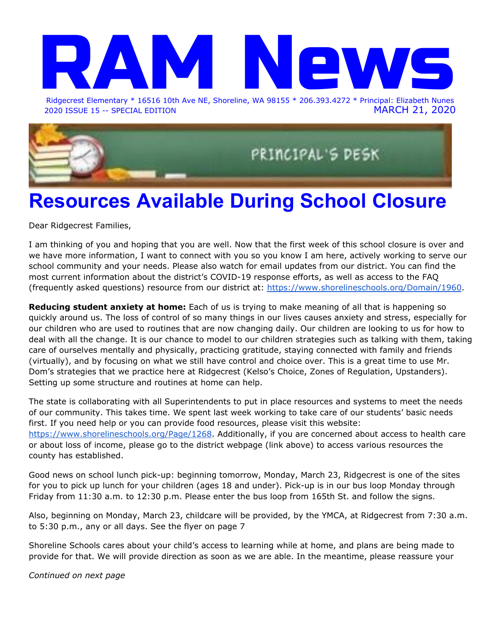# Ridgecrest Elemen Ridgecrest Elementary \* 16516 10th Ave NE, Shoreline, WA 98155 \* 206.393.4272 \* Principal: Elizabeth Nunes

2020 ISSUE 15 -- SPECIAL EDITION MARCH 21, 2020



## **Resources Available During School Closure**

Dear Ridgecrest Families,

I am thinking of you and hoping that you are well. Now that the first week of this school closure is over and we have more information, I want to connect with you so you know I am here, actively working to serve our school community and your needs. Please also watch for email updates from our district. You can find the most current information about the district's COVID-19 response efforts, as well as access to the FAQ (frequently asked questions) resource from our district at: <https://www.shorelineschools.org/Domain/1960>.

**Reducing student anxiety at home:** Each of us is trying to make meaning of all that is happening so quickly around us. The loss of control of so many things in our lives causes anxiety and stress, especially for our children who are used to routines that are now changing daily. Our children are looking to us for how to deal with all the change. It is our chance to model to our children strategies such as talking with them, taking care of ourselves mentally and physically, practicing gratitude, staying connected with family and friends (virtually), and by focusing on what we still have control and choice over. This is a great time to use Mr. Dom's strategies that we practice here at Ridgecrest (Kelso's Choice, Zones of Regulation, Upstanders). Setting up some structure and routines at home can help.

The state is collaborating with all Superintendents to put in place resources and systems to meet the needs of our community. This takes time. We spent last week working to take care of our students' basic needs first. If you need help or you can provide food resources, please visit this website: [https://www.shorelineschools.org/Page/1268.](https://www.shorelineschools.org/Page/1268) Additionally, if you are concerned about access to health care or about loss of income, please go to the district webpage (link above) to access various resources the county has established.

Good news on school lunch pick-up: beginning tomorrow, Monday, March 23, Ridgecrest is one of the sites for you to pick up lunch for your children (ages 18 and under). Pick-up is in our bus loop Monday through Friday from 11:30 a.m. to 12:30 p.m. Please enter the bus loop from 165th St. and follow the signs.

Also, beginning on Monday, March 23, childcare will be provided, by the YMCA, at Ridgecrest from 7:30 a.m. to 5:30 p.m., any or all days. See the flyer on page 7

Shoreline Schools cares about your child's access to learning while at home, and plans are being made to provide for that. We will provide direction as soon as we are able. In the meantime, please reassure your

*Continued on next page*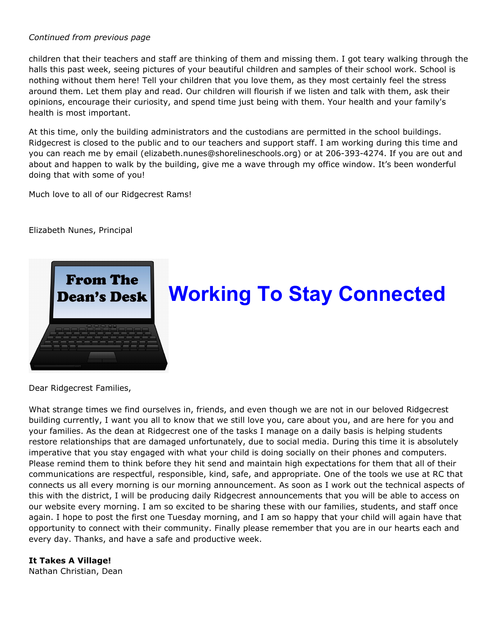## *Continued from previous page*

children that their teachers and staff are thinking of them and missing them. I got teary walking through the halls this past week, seeing pictures of your beautiful children and samples of their school work. School is nothing without them here! Tell your children that you love them, as they most certainly feel the stress around them. Let them play and read. Our children will flourish if we listen and talk with them, ask their opinions, encourage their curiosity, and spend time just being with them. Your health and your family's health is most important.

At this time, only the building administrators and the custodians are permitted in the school buildings. Ridgecrest is closed to the public and to our teachers and support staff. I am working during this time and you can reach me by email (elizabeth.nunes@shorelineschools.org) or at 206-393-4274. If you are out and about and happen to walk by the building, give me a wave through my office window. It's been wonderful doing that with some of you!

Much love to all of our Ridgecrest Rams!

Elizabeth Nunes, Principal



## **Working To Stay Connected**

Dear Ridgecrest Families,

What strange times we find ourselves in, friends, and even though we are not in our beloved Ridgecrest building currently, I want you all to know that we still love you, care about you, and are here for you and your families. As the dean at Ridgecrest one of the tasks I manage on a daily basis is helping students restore relationships that are damaged unfortunately, due to social media. During this time it is absolutely imperative that you stay engaged with what your child is doing socially on their phones and computers. Please remind them to think before they hit send and maintain high expectations for them that all of their communications are respectful, responsible, kind, safe, and appropriate. One of the tools we use at RC that connects us all every morning is our morning announcement. As soon as I work out the technical aspects of this with the district, I will be producing daily Ridgecrest announcements that you will be able to access on our website every morning. I am so excited to be sharing these with our families, students, and staff once again. I hope to post the first one Tuesday morning, and I am so happy that your child will again have that opportunity to connect with their community. Finally please remember that you are in our hearts each and every day. Thanks, and have a safe and productive week.

## **It Takes A Village!**

Nathan Christian, Dean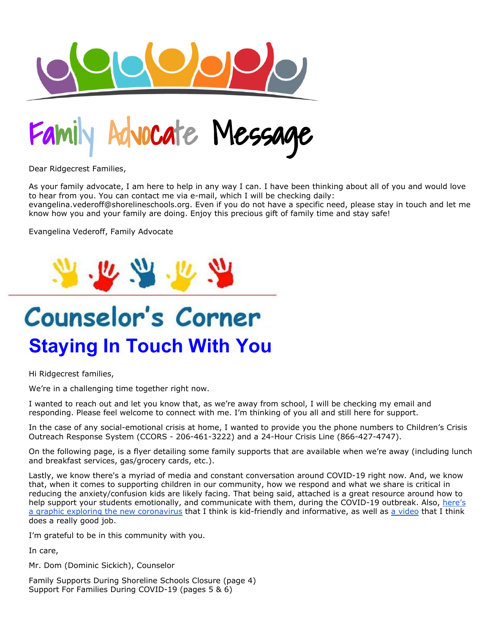

Nocate Message

Dear Ridgecrest Families,

As your family advocate, I am here to help in any way I can. I have been thinking about all of you and would love to hear from you. You can contact me via e-mail, which I will be checking daily: evangelina.vederoff@shorelineschools.org. Even if you do not have a specific need, please stay in touch and let me know how you and your family are doing. Enjoy this precious gift of family time and stay safe!

Evangelina Vederoff, Family Advocate



# Counselor's Corner **Staying In Touch With You**

Hi Ridgecrest families,

We're in a challenging time together right now.

I wanted to reach out and let you know that, as we're away from school, I will be checking my email and responding. Please feel welcome to connect with me. I'm thinking of you all and still here for support.

In the case of any social-emotional crisis at home, I wanted to provide you the phone numbers to Children's Crisis Outreach Response System (CCORS - 206-461-3222) and a 24-Hour Crisis Line (866-427-4747).

On the following page, is a flyer detailing some family supports that are available when we're away (including lunch and breakfast services, gas/grocery cards, etc.).

Lastly, we know there's a myriad of media and constant conversation around COVID-19 right now. And, we know that, when it comes to supporting children in our community, how we respond and what we share is critical in reducing the anxiety/confusion kids are likely facing. That being said, attached is a great resource around how to help support your students emotionally, and communicate with them, during the COVID-19 outbreak. Also, [here's](https://www.npr.org/sections/goatsandsoda/2020/02/28/809580453/just-for-kids-a-comic-exploring-the-new-coronavirus) a graphic exploring the new [coronavirus](https://www.npr.org/sections/goatsandsoda/2020/02/28/809580453/just-for-kids-a-comic-exploring-the-new-coronavirus) that I think is kid-friendly and informative, as well as a [video](https://www.brainpop.com/health/diseasesinjuriesandconditions/coronavirus/) that I think does a really good job.

I'm grateful to be in this community with you.

In care,

Mr. Dom (Dominic Sickich), Counselor

Family Supports During Shoreline Schools Closure (page 4) Support For Families During COVID-19 (pages 5 & 6)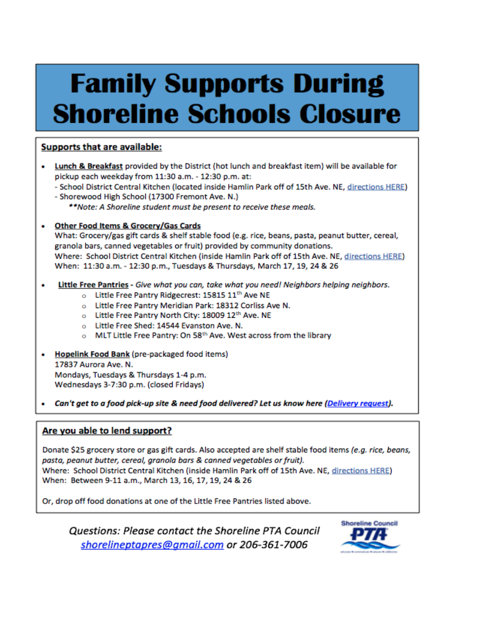# **Family Supports During Shoreline Schools Closure**

## Supports that are available:

Lunch & Breakfast provided by the District (hot lunch and breakfast item) will be available for pickup each weekday from 11:30 a.m. - 12:30 p.m. at:

- School District Central Kitchen (located inside Hamlin Park off of 15th Ave. NE, directions HERE)

- Shorewood High School (17300 Fremont Ave. N.)

\*\*Note: A Shoreline student must be present to receive these meals.

**Other Food Items & Grocery/Gas Cards** ٠

What: Grocery/gas gift cards & shelf stable food (e.g. rice, beans, pasta, peanut butter, cereal, granola bars, canned vegetables or fruit) provided by community donations. Where: School District Central Kitchen (inside Hamlin Park off of 15th Ave. NE, directions HERE) When: 11:30 a.m. - 12:30 p.m., Tuesdays & Thursdays, March 17, 19, 24 & 26

- Little Free Pantries Give what you can, take what you need! Neighbors helping neighbors. ٠
	- o Little Free Pantry Ridgecrest: 15815 11th Ave NE
	- o Little Free Pantry Meridian Park: 18312 Corliss Ave N.
	- o Little Free Pantry North City: 18009 12th Ave. NE
	- o Little Free Shed: 14544 Evanston Ave. N.
	- o MLT Little Free Pantry: On 58<sup>th</sup> Ave. West across from the library
- Hopelink Food Bank (pre-packaged food items) 17837 Aurora Ave. N. Mondays, Tuesdays & Thursdays 1-4 p.m. Wednesdays 3-7:30 p.m. (closed Fridays)
- Can't get to a food pick-up site & need food delivered? Let us know here (Delivery request).

## Are you able to lend support?

Donate \$25 grocery store or gas gift cards. Also accepted are shelf stable food items (e.g. rice, beans, pasta, peanut butter, cereal, granola bars & canned vegetables or fruit). Where: School District Central Kitchen (inside Hamlin Park off of 15th Ave. NE, directions HERE) When: Between 9-11 a.m., March 13, 16, 17, 19, 24 & 26

Or, drop off food donations at one of the Little Free Pantries listed above.

Questions: Please contact the Shoreline PTA Council shorelineptapres@gmail.com or 206-361-7006

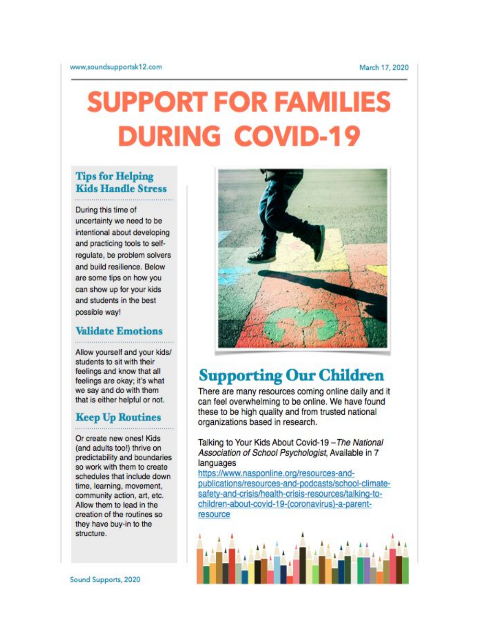# **SUPPORT FOR FAMILIES DURING COVID-19**

## **Tips for Helping Kids Handle Stress**

During this time of uncertainty we need to be intentional about developing and practicing tools to selfregulate, be problem solvers and build resilience. Below are some tips on how you can show up for your kids and students in the best possible way!

## **Validate Emotions**

Allow yourself and your kids/ students to sit with their feelings and know that all feelings are okay; it's what we say and do with them that is either helpful or not.

## **Keep Up Routines**

Or create new ones! Kids (and adults too!) thrive on predictability and boundaries so work with them to create schedules that include down time, learning, movement, community action, art, etc. Allow them to lead in the creation of the routines so they have buy-in to the structure.



## **Supporting Our Children**

There are many resources coming online daily and it can feel overwhelming to be online. We have found these to be high quality and from trusted national organizations based in research.

Talking to Your Kids About Covid-19 - The National Association of School Psychologist, Available in 7 languages

https://www.nasponline.org/resources-andpublications/resources-and-podcasts/school-climatesafety-and-crisis/health-crisis-resources/talking-tochildren-about-covid-19-(coronavirus)-a-parentresource

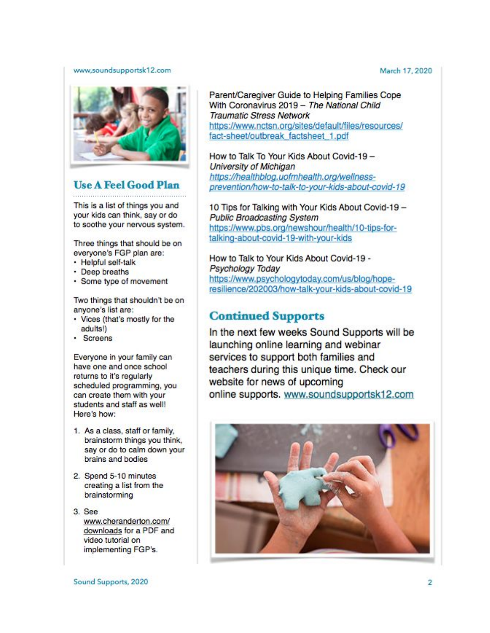#### www,soundsupportsk12.com



## **Use A Feel Good Plan**

This is a list of things you and your kids can think, say or do to soothe your nervous system.

Three things that should be on everyone's FGP plan are:

- · Helpful self-talk
- · Deep breaths
- · Some type of movement

Two things that shouldn't be on anyone's list are:

- Vices (that's mostly for the adults!)
- Screens

Everyone in your family can have one and once school returns to it's regularly scheduled programming, you can create them with your students and staff as well! Here's how:

- 1. As a class, staff or family, brainstorm things you think, say or do to calm down your brains and bodies
- 2. Spend 5-10 minutes creating a list from the brainstorming
- 3. See www.cheranderton.com/ downloads for a PDF and video tutorial on implementing FGP's.

https://www.nctsn.org/sites/default/files/resources/ fact-sheet/outbreak\_factsheet\_1.pdf How to Talk To Your Kids About Covid-19 -University of Michigan

**Traumatic Stress Network** 

https://healthblog.uofmhealth.org/wellnessprevention/how-to-talk-to-your-kids-about-covid-19

Parent/Caregiver Guide to Helping Families Cope With Coronavirus 2019 - The National Child

10 Tips for Talking with Your Kids About Covid-19 -**Public Broadcasting System** https://www.pbs.org/newshour/health/10-tips-fortalking-about-covid-19-with-your-kids

How to Talk to Your Kids About Covid-19 -Psychology Today https://www.psychologytoday.com/us/blog/hoperesilience/202003/how-talk-your-kids-about-covid-19

## **Continued Supports**

In the next few weeks Sound Supports will be launching online learning and webinar services to support both families and teachers during this unique time. Check our website for news of upcoming online supports. www.soundsupportsk12.com



### March 17, 2020